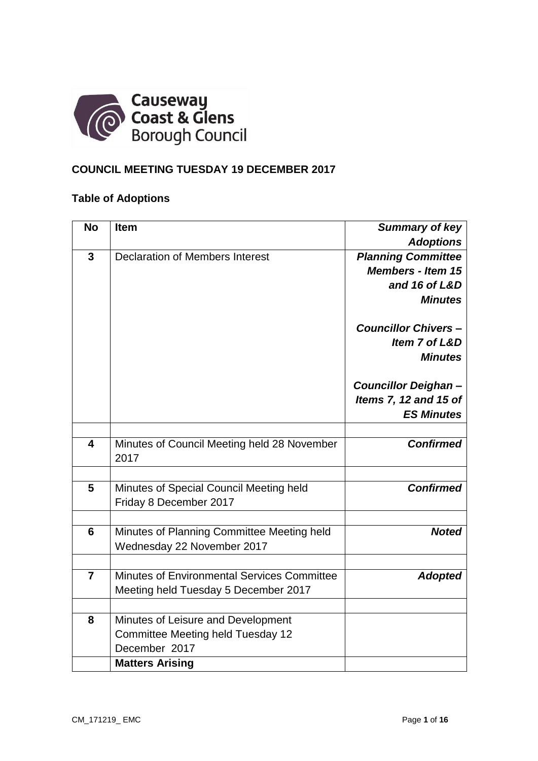

# **COUNCIL MEETING TUESDAY 19 DECEMBER 2017**

# **Table of Adoptions**

| <b>No</b>               | <b>Item</b>                                         | <b>Summary of key</b>      |
|-------------------------|-----------------------------------------------------|----------------------------|
|                         |                                                     | <b>Adoptions</b>           |
| $\mathbf{3}$            | <b>Declaration of Members Interest</b>              | <b>Planning Committee</b>  |
|                         |                                                     | <b>Members - Item 15</b>   |
|                         |                                                     | and 16 of L&D              |
|                         |                                                     | <b>Minutes</b>             |
|                         |                                                     | <b>Councillor Chivers-</b> |
|                         |                                                     | Item 7 of L&D              |
|                         |                                                     | <b>Minutes</b>             |
|                         |                                                     | <b>Councillor Deighan-</b> |
|                         |                                                     | Items 7, 12 and 15 of      |
|                         |                                                     | <b>ES Minutes</b>          |
|                         |                                                     |                            |
| $\overline{\mathbf{4}}$ | Minutes of Council Meeting held 28 November<br>2017 | <b>Confirmed</b>           |
|                         |                                                     |                            |
| 5                       | Minutes of Special Council Meeting held             | <b>Confirmed</b>           |
|                         | Friday 8 December 2017                              |                            |
| $6\phantom{1}$          | Minutes of Planning Committee Meeting held          | <b>Noted</b>               |
|                         | Wednesday 22 November 2017                          |                            |
|                         |                                                     |                            |
| $\overline{7}$          | Minutes of Environmental Services Committee         | <b>Adopted</b>             |
|                         | Meeting held Tuesday 5 December 2017                |                            |
|                         |                                                     |                            |
| 8                       | Minutes of Leisure and Development                  |                            |
|                         | Committee Meeting held Tuesday 12                   |                            |
|                         | December 2017                                       |                            |
|                         | <b>Matters Arising</b>                              |                            |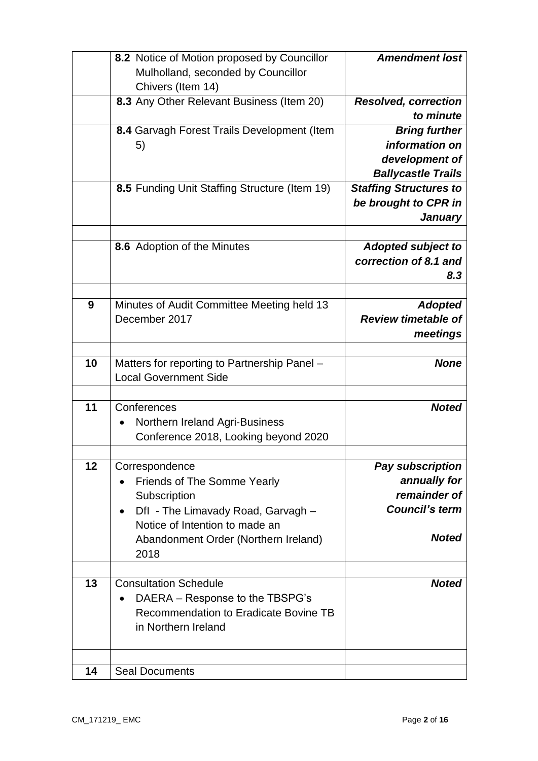|    | 8.2 Notice of Motion proposed by Councillor<br>Mulholland, seconded by Councillor                                                                                                                  | <b>Amendment lost</b>                                                                     |
|----|----------------------------------------------------------------------------------------------------------------------------------------------------------------------------------------------------|-------------------------------------------------------------------------------------------|
|    | Chivers (Item 14)                                                                                                                                                                                  |                                                                                           |
|    | 8.3 Any Other Relevant Business (Item 20)                                                                                                                                                          | <b>Resolved, correction</b><br>to minute                                                  |
|    | 8.4 Garvagh Forest Trails Development (Item<br>5)                                                                                                                                                  | <b>Bring further</b><br>information on<br>development of<br><b>Ballycastle Trails</b>     |
|    | 8.5 Funding Unit Staffing Structure (Item 19)                                                                                                                                                      | <b>Staffing Structures to</b><br>be brought to CPR in<br><b>January</b>                   |
|    | 8.6 Adoption of the Minutes                                                                                                                                                                        | <b>Adopted subject to</b><br>correction of 8.1 and<br>8.3                                 |
| 9  | Minutes of Audit Committee Meeting held 13<br>December 2017                                                                                                                                        | <b>Adopted</b><br><b>Review timetable of</b><br>meetings                                  |
| 10 | Matters for reporting to Partnership Panel -<br><b>Local Government Side</b>                                                                                                                       | <b>None</b>                                                                               |
| 11 | Conferences<br>Northern Ireland Agri-Business<br>Conference 2018, Looking beyond 2020                                                                                                              | <b>Noted</b>                                                                              |
| 12 | Correspondence<br>Friends of The Somme Yearly<br>Subscription<br>Dfl - The Limavady Road, Garvagh -<br>$\bullet$<br>Notice of Intention to made an<br>Abandonment Order (Northern Ireland)<br>2018 | Pay subscription<br>annually for<br>remainder of<br><b>Council's term</b><br><b>Noted</b> |
| 13 | <b>Consultation Schedule</b><br>DAERA – Response to the TBSPG's<br>Recommendation to Eradicate Bovine TB<br>in Northern Ireland                                                                    | <b>Noted</b>                                                                              |
| 14 | <b>Seal Documents</b>                                                                                                                                                                              |                                                                                           |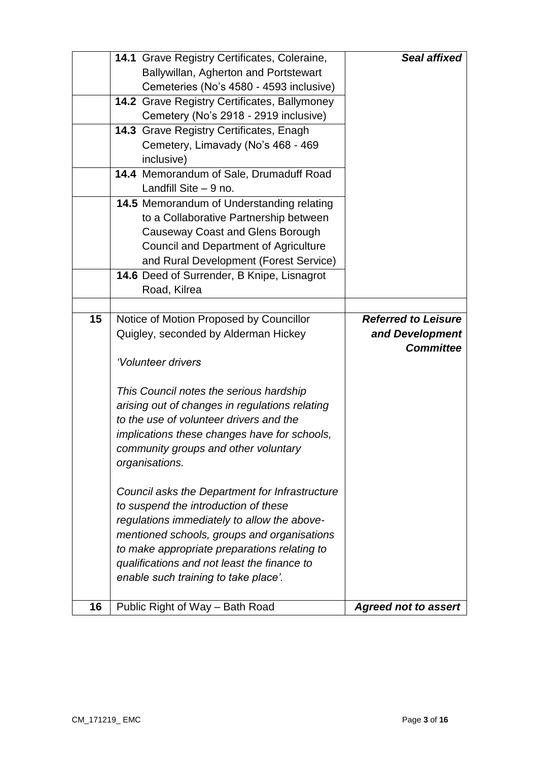|    | 14.1 Grave Registry Certificates, Coleraine,            | Seal affixed                |  |  |
|----|---------------------------------------------------------|-----------------------------|--|--|
|    | Ballywillan, Agherton and Portstewart                   |                             |  |  |
|    | Cemeteries (No's 4580 - 4593 inclusive)                 |                             |  |  |
|    | 14.2 Grave Registry Certificates, Ballymoney            |                             |  |  |
|    | Cemetery (No's 2918 - 2919 inclusive)                   |                             |  |  |
|    | <b>14.3 Grave Registry Certificates, Enagh</b>          |                             |  |  |
|    | Cemetery, Limavady (No's 468 - 469                      |                             |  |  |
|    | inclusive)                                              |                             |  |  |
|    | 14.4 Memorandum of Sale, Drumaduff Road                 |                             |  |  |
|    | Landfill Site $-9$ no.                                  |                             |  |  |
|    | 14.5 Memorandum of Understanding relating               |                             |  |  |
|    | to a Collaborative Partnership between                  |                             |  |  |
|    | <b>Causeway Coast and Glens Borough</b>                 |                             |  |  |
|    | Council and Department of Agriculture                   |                             |  |  |
|    | and Rural Development (Forest Service)                  |                             |  |  |
|    | 14.6 Deed of Surrender, B Knipe, Lisnagrot              |                             |  |  |
|    | Road, Kilrea                                            |                             |  |  |
|    |                                                         |                             |  |  |
| 15 | Notice of Motion Proposed by Councillor                 | <b>Referred to Leisure</b>  |  |  |
|    | Quigley, seconded by Alderman Hickey<br>and Development |                             |  |  |
|    |                                                         | <b>Committee</b>            |  |  |
|    | 'Volunteer drivers                                      |                             |  |  |
|    |                                                         |                             |  |  |
|    | This Council notes the serious hardship                 |                             |  |  |
|    | arising out of changes in regulations relating          |                             |  |  |
|    | to the use of volunteer drivers and the                 |                             |  |  |
|    | implications these changes have for schools,            |                             |  |  |
|    | community groups and other voluntary                    |                             |  |  |
|    | organisations.                                          |                             |  |  |
|    |                                                         |                             |  |  |
|    | Council asks the Department for Infrastructure          |                             |  |  |
|    | to suspend the introduction of these                    |                             |  |  |
|    | regulations immediately to allow the above-             |                             |  |  |
|    | mentioned schools, groups and organisations             |                             |  |  |
|    | to make appropriate preparations relating to            |                             |  |  |
|    | qualifications and not least the finance to             |                             |  |  |
|    | enable such training to take place'.                    |                             |  |  |
|    |                                                         |                             |  |  |
| 16 | Public Right of Way - Bath Road                         | <b>Agreed not to assert</b> |  |  |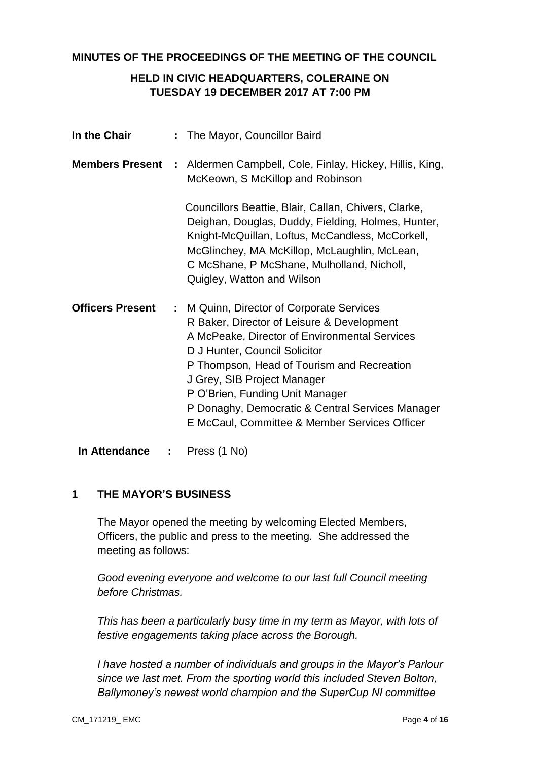#### **MINUTES OF THE PROCEEDINGS OF THE MEETING OF THE COUNCIL**

# **HELD IN CIVIC HEADQUARTERS, COLERAINE ON TUESDAY 19 DECEMBER 2017 AT 7:00 PM**

| In the Chair            |   | : The Mayor, Councillor Baird                                                                                                                                                                                                                                                                                                                                                                  |
|-------------------------|---|------------------------------------------------------------------------------------------------------------------------------------------------------------------------------------------------------------------------------------------------------------------------------------------------------------------------------------------------------------------------------------------------|
| <b>Members Present</b>  |   | : Aldermen Campbell, Cole, Finlay, Hickey, Hillis, King,<br>McKeown, S McKillop and Robinson                                                                                                                                                                                                                                                                                                   |
|                         |   | Councillors Beattie, Blair, Callan, Chivers, Clarke,<br>Deighan, Douglas, Duddy, Fielding, Holmes, Hunter,<br>Knight-McQuillan, Loftus, McCandless, McCorkell,<br>McGlinchey, MA McKillop, McLaughlin, McLean,<br>C McShane, P McShane, Mulholland, Nicholl,<br>Quigley, Watton and Wilson                                                                                                     |
| <b>Officers Present</b> |   | : M Quinn, Director of Corporate Services<br>R Baker, Director of Leisure & Development<br>A McPeake, Director of Environmental Services<br>D J Hunter, Council Solicitor<br>P Thompson, Head of Tourism and Recreation<br>J Grey, SIB Project Manager<br>P O'Brien, Funding Unit Manager<br>P Donaghy, Democratic & Central Services Manager<br>E McCaul, Committee & Member Services Officer |
| In Attendance           | ÷ | Press (1 No)                                                                                                                                                                                                                                                                                                                                                                                   |

#### **1 THE MAYOR'S BUSINESS**

The Mayor opened the meeting by welcoming Elected Members, Officers, the public and press to the meeting. She addressed the meeting as follows:

*Good evening everyone and welcome to our last full Council meeting before Christmas.*

*This has been a particularly busy time in my term as Mayor, with lots of festive engagements taking place across the Borough.*

*I have hosted a number of individuals and groups in the Mayor's Parlour since we last met. From the sporting world this included Steven Bolton, Ballymoney's newest world champion and the SuperCup NI committee*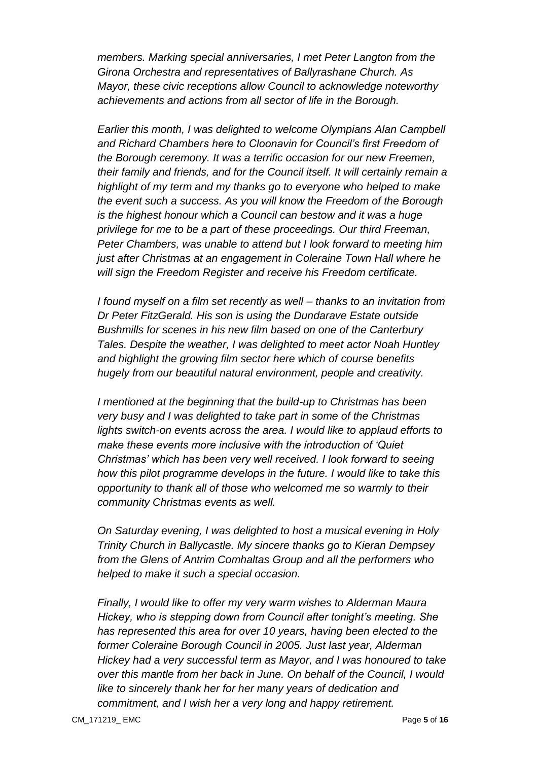*members. Marking special anniversaries, I met Peter Langton from the Girona Orchestra and representatives of Ballyrashane Church. As Mayor, these civic receptions allow Council to acknowledge noteworthy achievements and actions from all sector of life in the Borough.*

*Earlier this month, I was delighted to welcome Olympians Alan Campbell and Richard Chambers here to Cloonavin for Council's first Freedom of the Borough ceremony. It was a terrific occasion for our new Freemen, their family and friends, and for the Council itself. It will certainly remain a highlight of my term and my thanks go to everyone who helped to make the event such a success. As you will know the Freedom of the Borough is the highest honour which a Council can bestow and it was a huge privilege for me to be a part of these proceedings. Our third Freeman, Peter Chambers, was unable to attend but I look forward to meeting him just after Christmas at an engagement in Coleraine Town Hall where he will sign the Freedom Register and receive his Freedom certificate.*

*I found myself on a film set recently as well – thanks to an invitation from Dr Peter FitzGerald. His son is using the Dundarave Estate outside Bushmills for scenes in his new film based on one of the Canterbury Tales. Despite the weather, I was delighted to meet actor Noah Huntley and highlight the growing film sector here which of course benefits hugely from our beautiful natural environment, people and creativity.*

*I mentioned at the beginning that the build-up to Christmas has been very busy and I was delighted to take part in some of the Christmas lights switch-on events across the area. I would like to applaud efforts to make these events more inclusive with the introduction of 'Quiet Christmas' which has been very well received. I look forward to seeing how this pilot programme develops in the future. I would like to take this opportunity to thank all of those who welcomed me so warmly to their community Christmas events as well.*

*On Saturday evening, I was delighted to host a musical evening in Holy Trinity Church in Ballycastle. My sincere thanks go to Kieran Dempsey from the Glens of Antrim Comhaltas Group and all the performers who helped to make it such a special occasion.*

*Finally, I would like to offer my very warm wishes to Alderman Maura Hickey, who is stepping down from Council after tonight's meeting. She has represented this area for over 10 years, having been elected to the former Coleraine Borough Council in 2005. Just last year, Alderman Hickey had a very successful term as Mayor, and I was honoured to take over this mantle from her back in June. On behalf of the Council, I would like to sincerely thank her for her many years of dedication and commitment, and I wish her a very long and happy retirement.*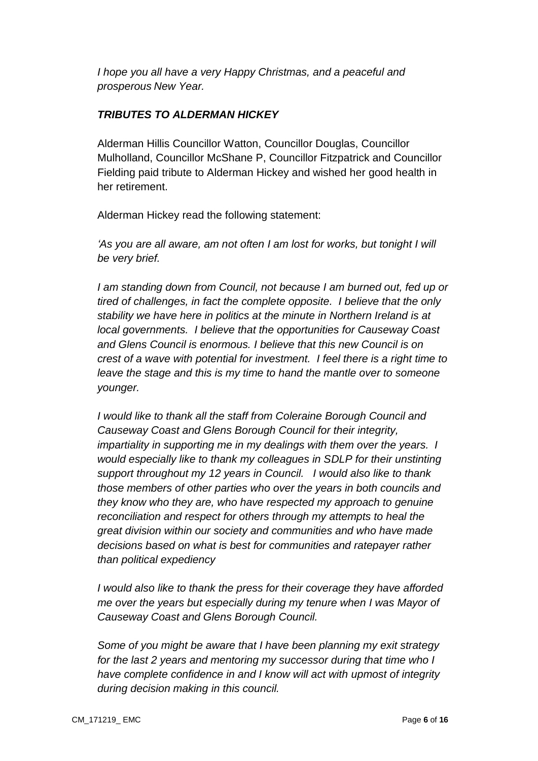*I hope you all have a very Happy Christmas, and a peaceful and prosperous New Year.*

# *TRIBUTES TO ALDERMAN HICKEY*

Alderman Hillis Councillor Watton, Councillor Douglas, Councillor Mulholland, Councillor McShane P, Councillor Fitzpatrick and Councillor Fielding paid tribute to Alderman Hickey and wished her good health in her retirement.

Alderman Hickey read the following statement:

*'As you are all aware, am not often I am lost for works, but tonight I will be very brief.* 

*I am standing down from Council, not because I am burned out, fed up or tired of challenges, in fact the complete opposite. I believe that the only stability we have here in politics at the minute in Northern Ireland is at local governments. I believe that the opportunities for Causeway Coast and Glens Council is enormous. I believe that this new Council is on crest of a wave with potential for investment. I feel there is a right time to leave the stage and this is my time to hand the mantle over to someone younger.*

*I would like to thank all the staff from Coleraine Borough Council and Causeway Coast and Glens Borough Council for their integrity, impartiality in supporting me in my dealings with them over the years. I would especially like to thank my colleagues in SDLP for their unstinting support throughout my 12 years in Council. I would also like to thank those members of other parties who over the years in both councils and they know who they are, who have respected my approach to genuine reconciliation and respect for others through my attempts to heal the great division within our society and communities and who have made decisions based on what is best for communities and ratepayer rather than political expediency* 

*I would also like to thank the press for their coverage they have afforded me over the years but especially during my tenure when I was Mayor of Causeway Coast and Glens Borough Council.* 

*Some of you might be aware that I have been planning my exit strategy for the last 2 years and mentoring my successor during that time who I have complete confidence in and I know will act with upmost of integrity during decision making in this council.*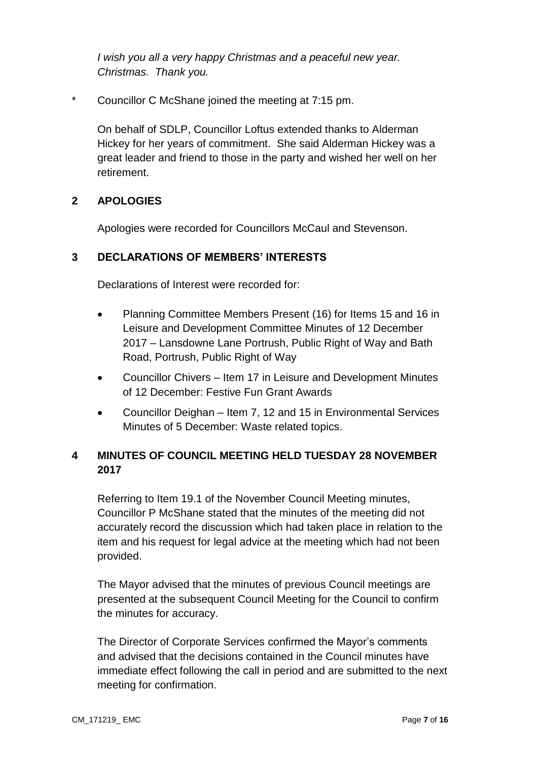*I wish you all a very happy Christmas and a peaceful new year. Christmas. Thank you.* 

\* Councillor C McShane joined the meeting at 7:15 pm.

On behalf of SDLP, Councillor Loftus extended thanks to Alderman Hickey for her years of commitment. She said Alderman Hickey was a great leader and friend to those in the party and wished her well on her retirement.

#### **2 APOLOGIES**

Apologies were recorded for Councillors McCaul and Stevenson.

#### **3 DECLARATIONS OF MEMBERS' INTERESTS**

Declarations of Interest were recorded for:

- Planning Committee Members Present (16) for Items 15 and 16 in Leisure and Development Committee Minutes of 12 December 2017 – Lansdowne Lane Portrush, Public Right of Way and Bath Road, Portrush, Public Right of Way
- Councillor Chivers Item 17 in Leisure and Development Minutes of 12 December: Festive Fun Grant Awards
- Councillor Deighan Item 7, 12 and 15 in Environmental Services Minutes of 5 December: Waste related topics.

# **4 MINUTES OF COUNCIL MEETING HELD TUESDAY 28 NOVEMBER 2017**

Referring to Item 19.1 of the November Council Meeting minutes, Councillor P McShane stated that the minutes of the meeting did not accurately record the discussion which had taken place in relation to the item and his request for legal advice at the meeting which had not been provided.

The Mayor advised that the minutes of previous Council meetings are presented at the subsequent Council Meeting for the Council to confirm the minutes for accuracy.

The Director of Corporate Services confirmed the Mayor's comments and advised that the decisions contained in the Council minutes have immediate effect following the call in period and are submitted to the next meeting for confirmation.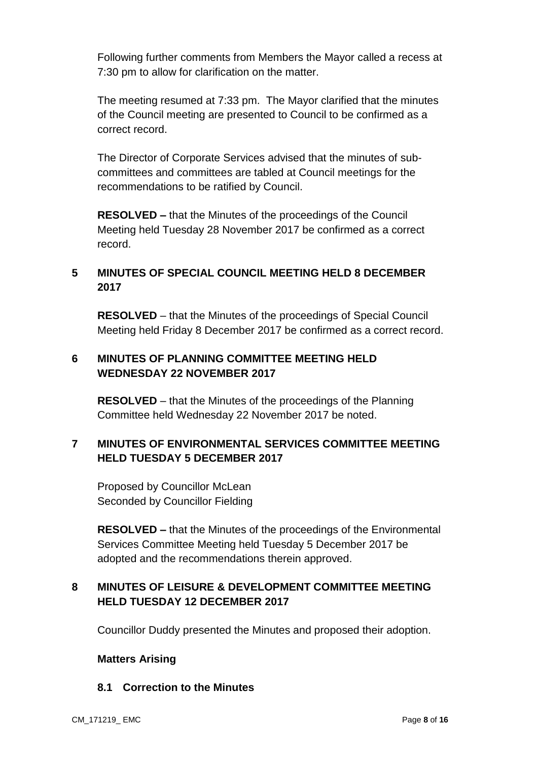Following further comments from Members the Mayor called a recess at 7:30 pm to allow for clarification on the matter.

The meeting resumed at 7:33 pm. The Mayor clarified that the minutes of the Council meeting are presented to Council to be confirmed as a correct record.

The Director of Corporate Services advised that the minutes of subcommittees and committees are tabled at Council meetings for the recommendations to be ratified by Council.

**RESOLVED –** that the Minutes of the proceedings of the Council Meeting held Tuesday 28 November 2017 be confirmed as a correct record.

# **5 MINUTES OF SPECIAL COUNCIL MEETING HELD 8 DECEMBER 2017**

**RESOLVED** – that the Minutes of the proceedings of Special Council Meeting held Friday 8 December 2017 be confirmed as a correct record.

# **6 MINUTES OF PLANNING COMMITTEE MEETING HELD WEDNESDAY 22 NOVEMBER 2017**

**RESOLVED** – that the Minutes of the proceedings of the Planning Committee held Wednesday 22 November 2017 be noted.

# **7 MINUTES OF ENVIRONMENTAL SERVICES COMMITTEE MEETING HELD TUESDAY 5 DECEMBER 2017**

Proposed by Councillor McLean Seconded by Councillor Fielding

**RESOLVED –** that the Minutes of the proceedings of the Environmental Services Committee Meeting held Tuesday 5 December 2017 be adopted and the recommendations therein approved.

# **8 MINUTES OF LEISURE & DEVELOPMENT COMMITTEE MEETING HELD TUESDAY 12 DECEMBER 2017**

Councillor Duddy presented the Minutes and proposed their adoption.

#### **Matters Arising**

# **8.1 Correction to the Minutes**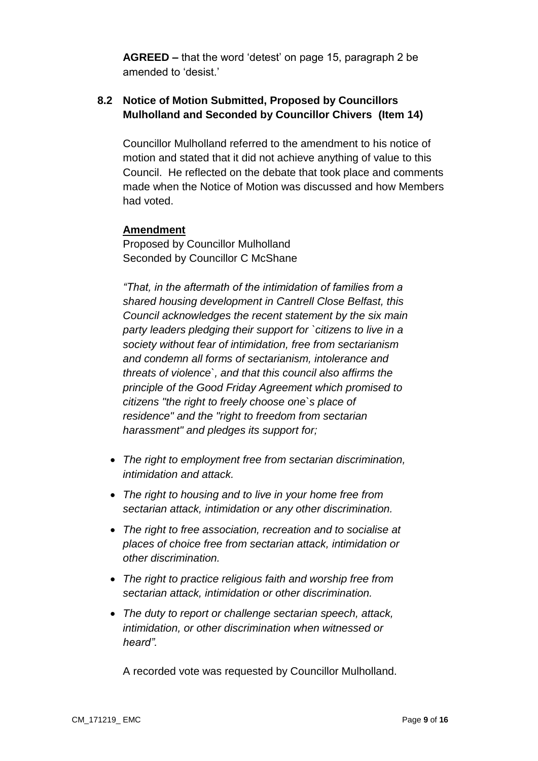**AGREED –** that the word 'detest' on page 15, paragraph 2 be amended to 'desist.'

# **8.2 Notice of Motion Submitted, Proposed by Councillors Mulholland and Seconded by Councillor Chivers (Item 14)**

Councillor Mulholland referred to the amendment to his notice of motion and stated that it did not achieve anything of value to this Council. He reflected on the debate that took place and comments made when the Notice of Motion was discussed and how Members had voted.

#### **Amendment**

Proposed by Councillor Mulholland Seconded by Councillor C McShane

*"That, in the aftermath of the intimidation of families from a shared housing development in Cantrell Close Belfast, this Council acknowledges the recent statement by the six main party leaders pledging their support for `citizens to live in a society without fear of intimidation, free from sectarianism and condemn all forms of sectarianism, intolerance and threats of violence`, and that this council also affirms the principle of the Good Friday Agreement which promised to citizens "the right to freely choose one`s place of residence" and the "right to freedom from sectarian harassment" and pledges its support for;* 

- *The right to employment free from sectarian discrimination, intimidation and attack.*
- *The right to housing and to live in your home free from sectarian attack, intimidation or any other discrimination.*
- *The right to free association, recreation and to socialise at places of choice free from sectarian attack, intimidation or other discrimination.*
- *The right to practice religious faith and worship free from sectarian attack, intimidation or other discrimination.*
- *The duty to report or challenge sectarian speech, attack, intimidation, or other discrimination when witnessed or heard".*

A recorded vote was requested by Councillor Mulholland.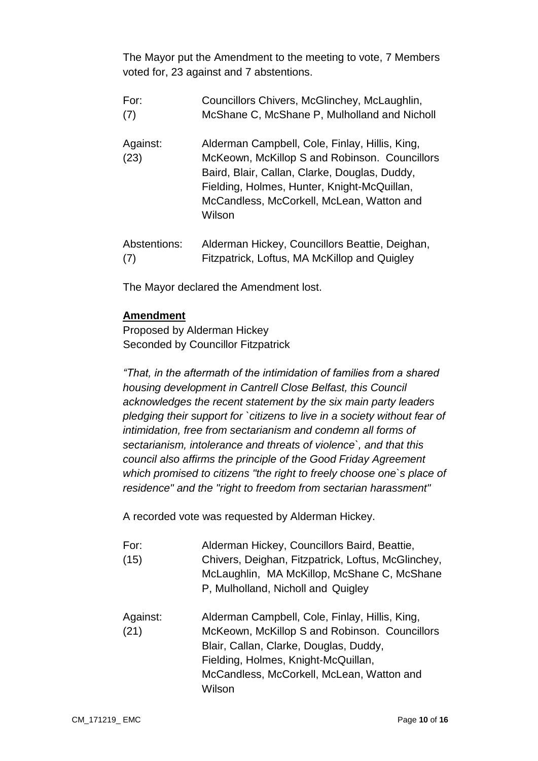The Mayor put the Amendment to the meeting to vote, 7 Members voted for, 23 against and 7 abstentions.

- For: Councillors Chivers, McGlinchey, McLaughlin, (7) McShane C, McShane P, Mulholland and Nicholl
- Against: Alderman Campbell, Cole, Finlay, Hillis, King, (23) McKeown, McKillop S and Robinson. Councillors Baird, Blair, Callan, Clarke, Douglas, Duddy, Fielding, Holmes, Hunter, Knight-McQuillan, McCandless, McCorkell, McLean, Watton and Wilson
- Abstentions: Alderman Hickey, Councillors Beattie, Deighan, (7) Fitzpatrick, Loftus, MA McKillop and Quigley

The Mayor declared the Amendment lost.

# **Amendment**

Proposed by Alderman Hickey Seconded by Councillor Fitzpatrick

*"That, in the aftermath of the intimidation of families from a shared housing development in Cantrell Close Belfast, this Council acknowledges the recent statement by the six main party leaders pledging their support for `citizens to live in a society without fear of intimidation, free from sectarianism and condemn all forms of sectarianism, intolerance and threats of violence`, and that this council also affirms the principle of the Good Friday Agreement which promised to citizens "the right to freely choose one`s place of residence" and the "right to freedom from sectarian harassment"*

A recorded vote was requested by Alderman Hickey.

- For: Alderman Hickey, Councillors Baird, Beattie, (15) Chivers, Deighan, Fitzpatrick, Loftus, McGlinchey, McLaughlin, MA McKillop, McShane C, McShane P, Mulholland, Nicholl and Quigley
- Against: Alderman Campbell, Cole, Finlay, Hillis, King, (21) McKeown, McKillop S and Robinson. Councillors Blair, Callan, Clarke, Douglas, Duddy, Fielding, Holmes, Knight-McQuillan, McCandless, McCorkell, McLean, Watton and Wilson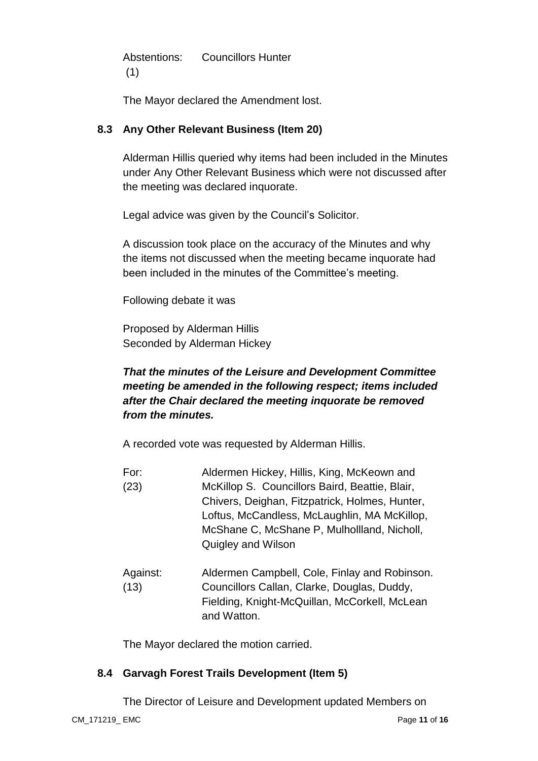Abstentions: Councillors Hunter (1)

The Mayor declared the Amendment lost.

# **8.3 Any Other Relevant Business (Item 20)**

Alderman Hillis queried why items had been included in the Minutes under Any Other Relevant Business which were not discussed after the meeting was declared inquorate.

Legal advice was given by the Council's Solicitor.

A discussion took place on the accuracy of the Minutes and why the items not discussed when the meeting became inquorate had been included in the minutes of the Committee's meeting.

Following debate it was

Proposed by Alderman Hillis Seconded by Alderman Hickey

# *That the minutes of the Leisure and Development Committee meeting be amended in the following respect; items included after the Chair declared the meeting inquorate be removed from the minutes.*

A recorded vote was requested by Alderman Hillis.

- For: Aldermen Hickey, Hillis, King, McKeown and
- (23) McKillop S. Councillors Baird, Beattie, Blair, Chivers, Deighan, Fitzpatrick, Holmes, Hunter, Loftus, McCandless, McLaughlin, MA McKillop, McShane C, McShane P, Mulhollland, Nicholl, Quigley and Wilson
- Against: Aldermen Campbell, Cole, Finlay and Robinson. (13) Councillors Callan, Clarke, Douglas, Duddy, Fielding, Knight-McQuillan, McCorkell, McLean and Watton.

The Mayor declared the motion carried.

# **8.4 Garvagh Forest Trails Development (Item 5)**

The Director of Leisure and Development updated Members on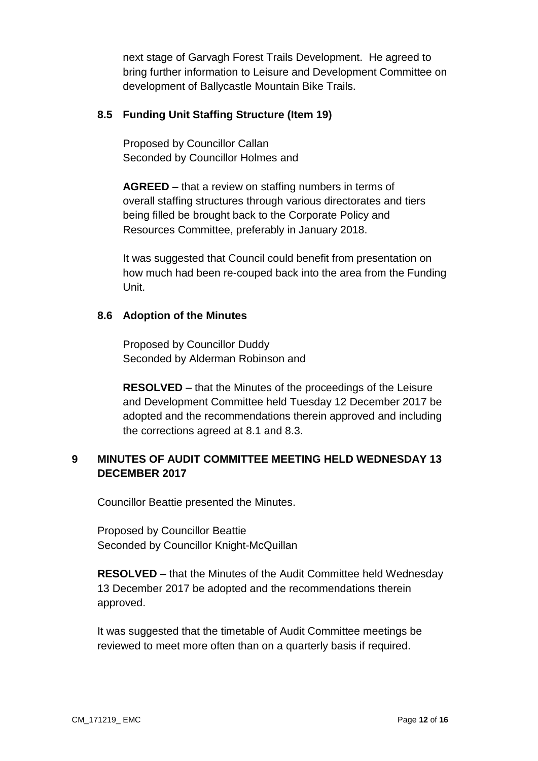next stage of Garvagh Forest Trails Development. He agreed to bring further information to Leisure and Development Committee on development of Ballycastle Mountain Bike Trails.

### **8.5 Funding Unit Staffing Structure (Item 19)**

Proposed by Councillor Callan Seconded by Councillor Holmes and

**AGREED** – that a review on staffing numbers in terms of overall staffing structures through various directorates and tiers being filled be brought back to the Corporate Policy and Resources Committee, preferably in January 2018.

It was suggested that Council could benefit from presentation on how much had been re-couped back into the area from the Funding Unit.

#### **8.6 Adoption of the Minutes**

Proposed by Councillor Duddy Seconded by Alderman Robinson and

**RESOLVED** – that the Minutes of the proceedings of the Leisure and Development Committee held Tuesday 12 December 2017 be adopted and the recommendations therein approved and including the corrections agreed at 8.1 and 8.3.

# **9 MINUTES OF AUDIT COMMITTEE MEETING HELD WEDNESDAY 13 DECEMBER 2017**

Councillor Beattie presented the Minutes.

Proposed by Councillor Beattie Seconded by Councillor Knight-McQuillan

**RESOLVED** – that the Minutes of the Audit Committee held Wednesday 13 December 2017 be adopted and the recommendations therein approved.

It was suggested that the timetable of Audit Committee meetings be reviewed to meet more often than on a quarterly basis if required.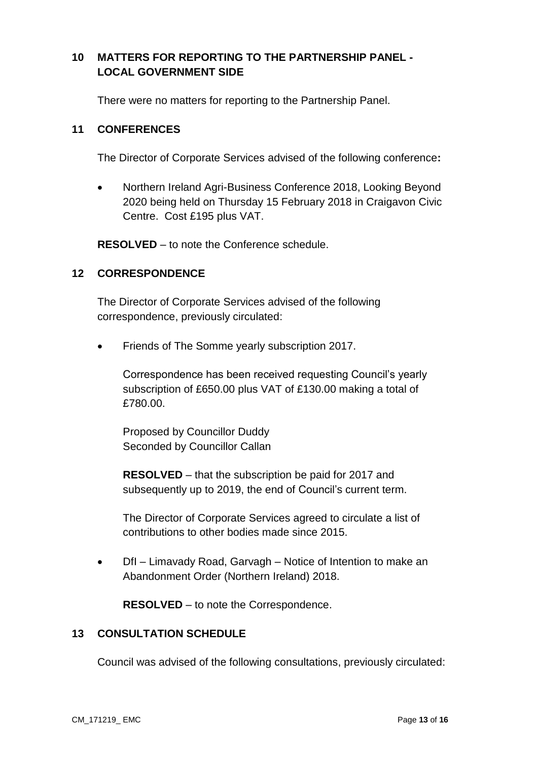# **10 MATTERS FOR REPORTING TO THE PARTNERSHIP PANEL - LOCAL GOVERNMENT SIDE**

There were no matters for reporting to the Partnership Panel.

#### **11 CONFERENCES**

The Director of Corporate Services advised of the following conference**:** 

 Northern Ireland Agri-Business Conference 2018, Looking Beyond 2020 being held on Thursday 15 February 2018 in Craigavon Civic Centre. Cost £195 plus VAT.

**RESOLVED** – to note the Conference schedule.

#### **12 CORRESPONDENCE**

The Director of Corporate Services advised of the following correspondence, previously circulated:

Friends of The Somme yearly subscription 2017.

Correspondence has been received requesting Council's yearly subscription of £650.00 plus VAT of £130.00 making a total of £780.00.

Proposed by Councillor Duddy Seconded by Councillor Callan

**RESOLVED** – that the subscription be paid for 2017 and subsequently up to 2019, the end of Council's current term.

The Director of Corporate Services agreed to circulate a list of contributions to other bodies made since 2015.

• DfI – Limavady Road, Garvagh – Notice of Intention to make an Abandonment Order (Northern Ireland) 2018.

**RESOLVED** – to note the Correspondence.

### **13 CONSULTATION SCHEDULE**

Council was advised of the following consultations, previously circulated: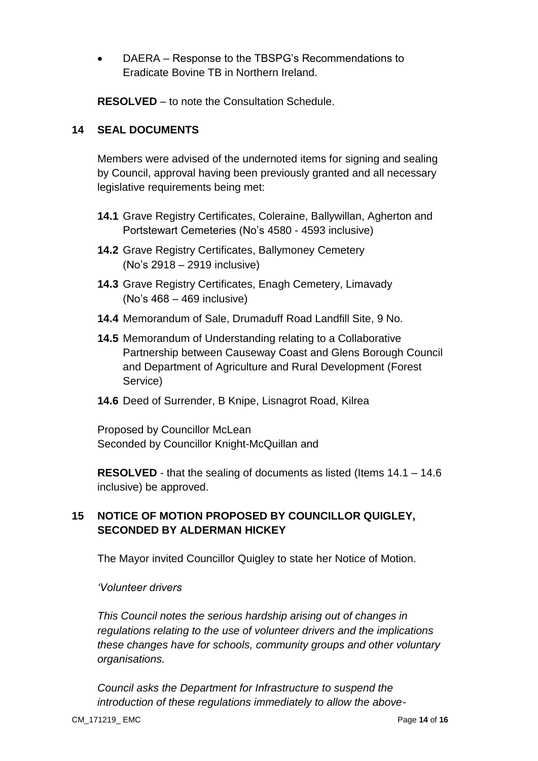DAERA – Response to the TBSPG's Recommendations to Eradicate Bovine TB in Northern Ireland.

**RESOLVED** – to note the Consultation Schedule.

### **14 SEAL DOCUMENTS**

Members were advised of the undernoted items for signing and sealing by Council, approval having been previously granted and all necessary legislative requirements being met:

- **14.1** Grave Registry Certificates, Coleraine, Ballywillan, Agherton and Portstewart Cemeteries (No's 4580 - 4593 inclusive)
- **14.2** Grave Registry Certificates, Ballymoney Cemetery (No's 2918 – 2919 inclusive)
- **14.3** Grave Registry Certificates, Enagh Cemetery, Limavady (No's 468 – 469 inclusive)
- **14.4** Memorandum of Sale, Drumaduff Road Landfill Site, 9 No.
- **14.5** Memorandum of Understanding relating to a Collaborative Partnership between Causeway Coast and Glens Borough Council and Department of Agriculture and Rural Development (Forest Service)
- **14.6** Deed of Surrender, B Knipe, Lisnagrot Road, Kilrea

Proposed by Councillor McLean Seconded by Councillor Knight-McQuillan and

**RESOLVED** - that the sealing of documents as listed (Items 14.1 – 14.6 inclusive) be approved.

# **15 NOTICE OF MOTION PROPOSED BY COUNCILLOR QUIGLEY, SECONDED BY ALDERMAN HICKEY**

The Mayor invited Councillor Quigley to state her Notice of Motion.

#### *'Volunteer drivers*

*This Council notes the serious hardship arising out of changes in regulations relating to the use of volunteer drivers and the implications these changes have for schools, community groups and other voluntary organisations.*

*Council asks the Department for Infrastructure to suspend the introduction of these regulations immediately to allow the above-*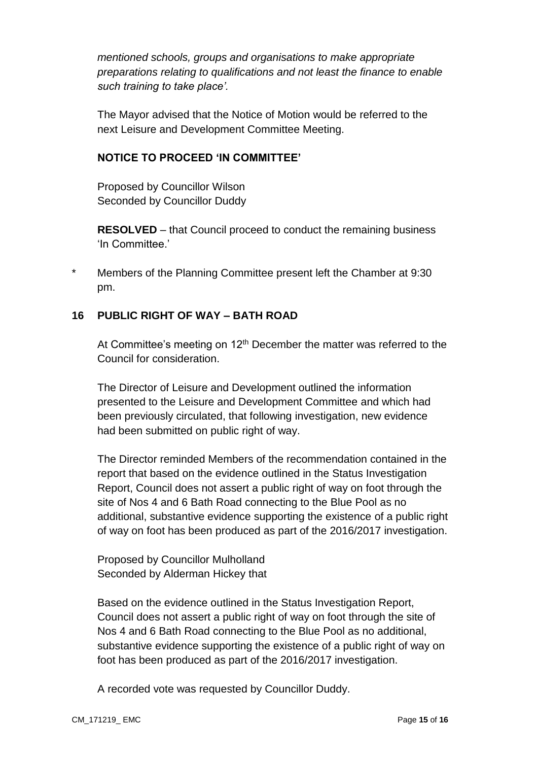*mentioned schools, groups and organisations to make appropriate preparations relating to qualifications and not least the finance to enable such training to take place'.*

The Mayor advised that the Notice of Motion would be referred to the next Leisure and Development Committee Meeting.

### **NOTICE TO PROCEED 'IN COMMITTEE'**

Proposed by Councillor Wilson Seconded by Councillor Duddy

**RESOLVED** – that Council proceed to conduct the remaining business 'In Committee.'

\* Members of the Planning Committee present left the Chamber at 9:30 pm.

# **16 PUBLIC RIGHT OF WAY – BATH ROAD**

At Committee's meeting on  $12<sup>th</sup>$  December the matter was referred to the Council for consideration.

The Director of Leisure and Development outlined the information presented to the Leisure and Development Committee and which had been previously circulated, that following investigation, new evidence had been submitted on public right of way.

The Director reminded Members of the recommendation contained in the report that based on the evidence outlined in the Status Investigation Report, Council does not assert a public right of way on foot through the site of Nos 4 and 6 Bath Road connecting to the Blue Pool as no additional, substantive evidence supporting the existence of a public right of way on foot has been produced as part of the 2016/2017 investigation.

Proposed by Councillor Mulholland Seconded by Alderman Hickey that

Based on the evidence outlined in the Status Investigation Report, Council does not assert a public right of way on foot through the site of Nos 4 and 6 Bath Road connecting to the Blue Pool as no additional, substantive evidence supporting the existence of a public right of way on foot has been produced as part of the 2016/2017 investigation.

A recorded vote was requested by Councillor Duddy.